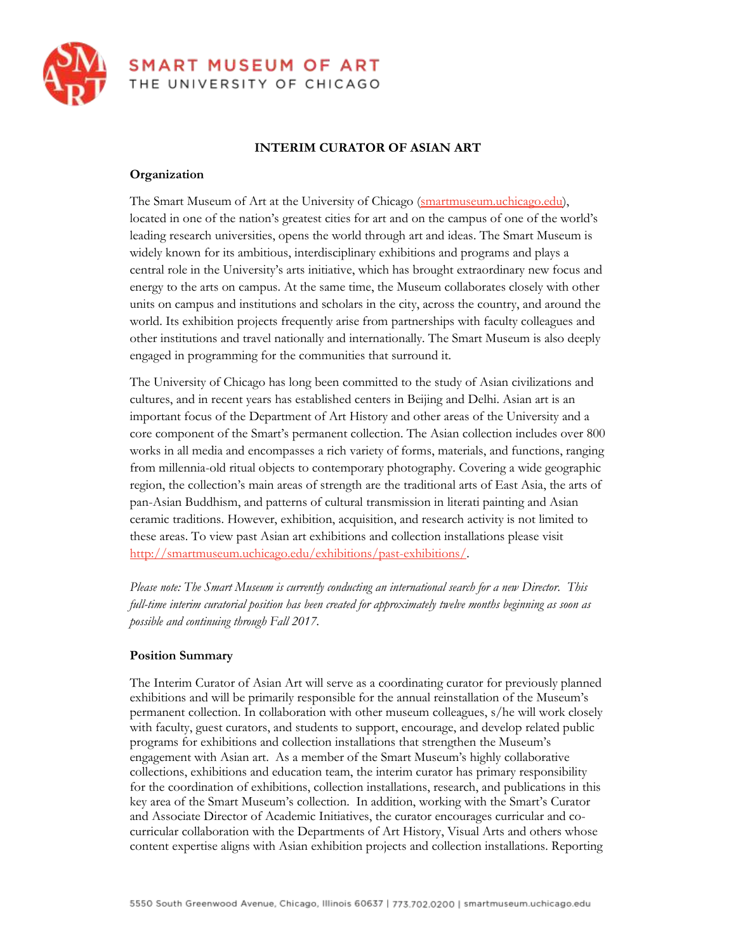

### **INTERIM CURATOR OF ASIAN ART**

#### **Organization**

The Smart Museum of Art at the University of Chicago [\(smartmuseum.uchicago.edu\)](http://smartmuseum.uchicago.edu/), located in one of the nation's greatest cities for art and on the campus of one of the world's leading research universities, opens the world through art and ideas. The Smart Museum is widely known for its ambitious, interdisciplinary exhibitions and programs and plays a central role in the University's arts initiative, which has brought extraordinary new focus and energy to the arts on campus. At the same time, the Museum collaborates closely with other units on campus and institutions and scholars in the city, across the country, and around the world. Its exhibition projects frequently arise from partnerships with faculty colleagues and other institutions and travel nationally and internationally. The Smart Museum is also deeply engaged in programming for the communities that surround it.

The University of Chicago has long been committed to the study of Asian civilizations and cultures, and in recent years has established centers in Beijing and Delhi. Asian art is an important focus of the Department of Art History and other areas of the University and a core component of the Smart's permanent collection. The Asian collection includes over 800 works in all media and encompasses a rich variety of forms, materials, and functions, ranging from millennia-old ritual objects to contemporary photography. Covering a wide geographic region, the collection's main areas of strength are the traditional arts of East Asia, the arts of pan-Asian Buddhism, and patterns of cultural transmission in literati painting and Asian ceramic traditions. However, exhibition, acquisition, and research activity is not limited to these areas. To view past Asian art exhibitions and collection installations please visit [http://smartmuseum.uchicago.edu/exhibitions/past-exhibitions/.](http://smartmuseum.uchicago.edu/exhibitions/past-exhibitions/)

*Please note: The Smart Museum is currently conducting an international search for a new Director. This full-time interim curatorial position has been created for approximately twelve months beginning as soon as possible and continuing through Fall 2017.*

#### **Position Summary**

The Interim Curator of Asian Art will serve as a coordinating curator for previously planned exhibitions and will be primarily responsible for the annual reinstallation of the Museum's permanent collection. In collaboration with other museum colleagues, s/he will work closely with faculty, guest curators, and students to support, encourage, and develop related public programs for exhibitions and collection installations that strengthen the Museum's engagement with Asian art. As a member of the Smart Museum's highly collaborative collections, exhibitions and education team, the interim curator has primary responsibility for the coordination of exhibitions, collection installations, research, and publications in this key area of the Smart Museum's collection. In addition, working with the Smart's Curator and Associate Director of Academic Initiatives, the curator encourages curricular and cocurricular collaboration with the Departments of Art History, Visual Arts and others whose content expertise aligns with Asian exhibition projects and collection installations. Reporting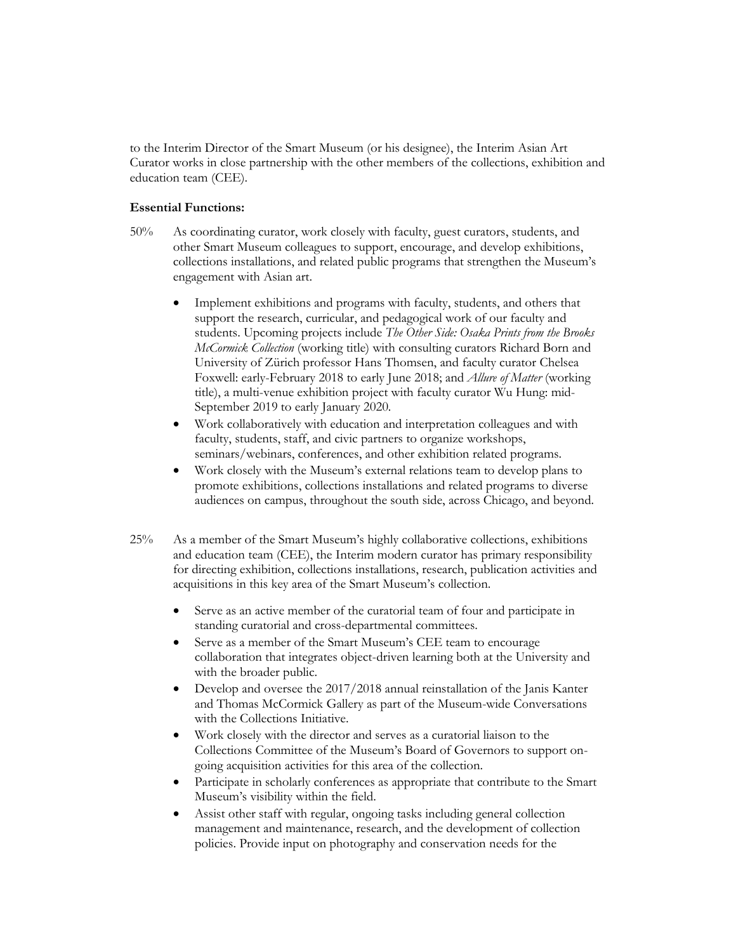to the Interim Director of the Smart Museum (or his designee), the Interim Asian Art Curator works in close partnership with the other members of the collections, exhibition and education team (CEE).

#### **Essential Functions:**

- 50% As coordinating curator, work closely with faculty, guest curators, students, and other Smart Museum colleagues to support, encourage, and develop exhibitions, collections installations, and related public programs that strengthen the Museum's engagement with Asian art.
	- Implement exhibitions and programs with faculty, students, and others that support the research, curricular, and pedagogical work of our faculty and students. Upcoming projects include *The Other Side: Osaka Prints from the Brooks McCormick Collection* (working title) with consulting curators Richard Born and University of Zürich professor Hans Thomsen, and faculty curator Chelsea Foxwell: early-February 2018 to early June 2018; and *Allure of Matter* (working title), a multi-venue exhibition project with faculty curator Wu Hung: mid-September 2019 to early January 2020*.*
	- Work collaboratively with education and interpretation colleagues and with faculty, students, staff, and civic partners to organize workshops, seminars/webinars, conferences, and other exhibition related programs.
	- Work closely with the Museum's external relations team to develop plans to promote exhibitions, collections installations and related programs to diverse audiences on campus, throughout the south side, across Chicago, and beyond.
- 25% As a member of the Smart Museum's highly collaborative collections, exhibitions and education team (CEE), the Interim modern curator has primary responsibility for directing exhibition, collections installations, research, publication activities and acquisitions in this key area of the Smart Museum's collection.
	- Serve as an active member of the curatorial team of four and participate in standing curatorial and cross-departmental committees.
	- Serve as a member of the Smart Museum's CEE team to encourage collaboration that integrates object-driven learning both at the University and with the broader public.
	- Develop and oversee the 2017/2018 annual reinstallation of the Janis Kanter and Thomas McCormick Gallery as part of the Museum-wide Conversations with the Collections Initiative.
	- Work closely with the director and serves as a curatorial liaison to the Collections Committee of the Museum's Board of Governors to support ongoing acquisition activities for this area of the collection.
	- Participate in scholarly conferences as appropriate that contribute to the Smart Museum's visibility within the field.
	- Assist other staff with regular, ongoing tasks including general collection management and maintenance, research, and the development of collection policies. Provide input on photography and conservation needs for the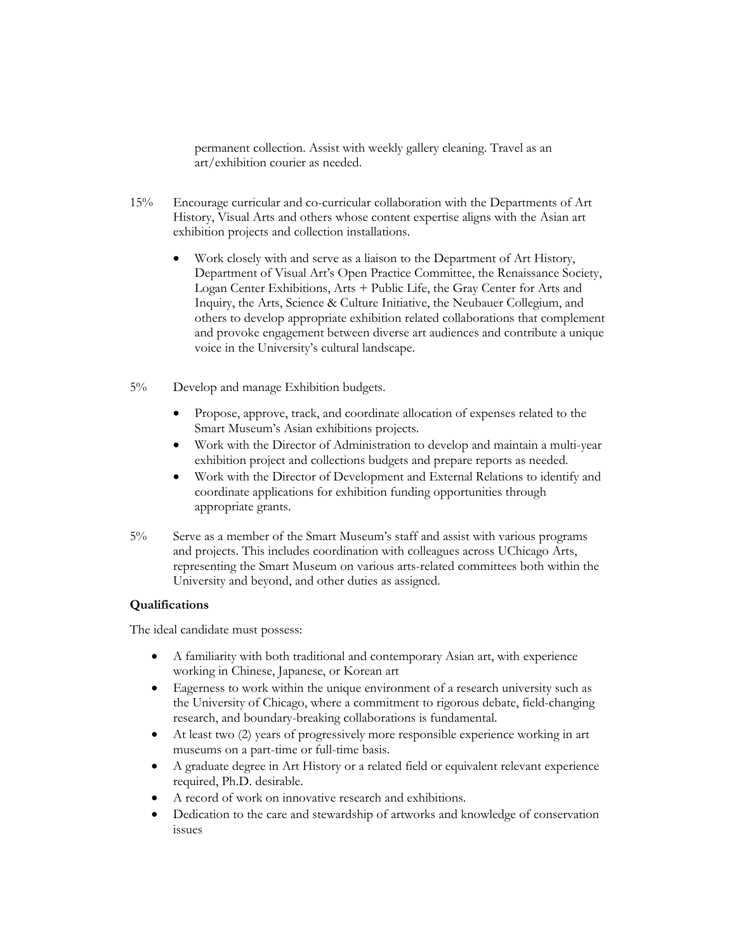permanent collection. Assist with weekly gallery cleaning. Travel as an art/exhibition courier as needed.

- 15% Encourage curricular and co-curricular collaboration with the Departments of Art History, Visual Arts and others whose content expertise aligns with the Asian art exhibition projects and collection installations.
	- Work closely with and serve as a liaison to the Department of Art History, Department of Visual Art's Open Practice Committee, the Renaissance Society, Logan Center Exhibitions, Arts + Public Life, the Gray Center for Arts and Inquiry, the Arts, Science & Culture Initiative, the Neubauer Collegium, and others to develop appropriate exhibition related collaborations that complement and provoke engagement between diverse art audiences and contribute a unique voice in the University's cultural landscape.
- 5% Develop and manage Exhibition budgets.
	- Propose, approve, track, and coordinate allocation of expenses related to the Smart Museum's Asian exhibitions projects.
	- Work with the Director of Administration to develop and maintain a multi-year exhibition project and collections budgets and prepare reports as needed.
	- Work with the Director of Development and External Relations to identify and coordinate applications for exhibition funding opportunities through appropriate grants.
- 5% Serve as a member of the Smart Museum's staff and assist with various programs and projects. This includes coordination with colleagues across UChicago Arts, representing the Smart Museum on various arts-related committees both within the University and beyond, and other duties as assigned.

#### **Qualifications**

The ideal candidate must possess:

- A familiarity with both traditional and contemporary Asian art, with experience working in Chinese, Japanese, or Korean art
- Eagerness to work within the unique environment of a research university such as the University of Chicago, where a commitment to rigorous debate, field-changing research, and boundary-breaking collaborations is fundamental.
- At least two (2) years of progressively more responsible experience working in art museums on a part-time or full-time basis.
- A graduate degree in Art History or a related field or equivalent relevant experience required, Ph.D. desirable.
- A record of work on innovative research and exhibitions.
- Dedication to the care and stewardship of artworks and knowledge of conservation issues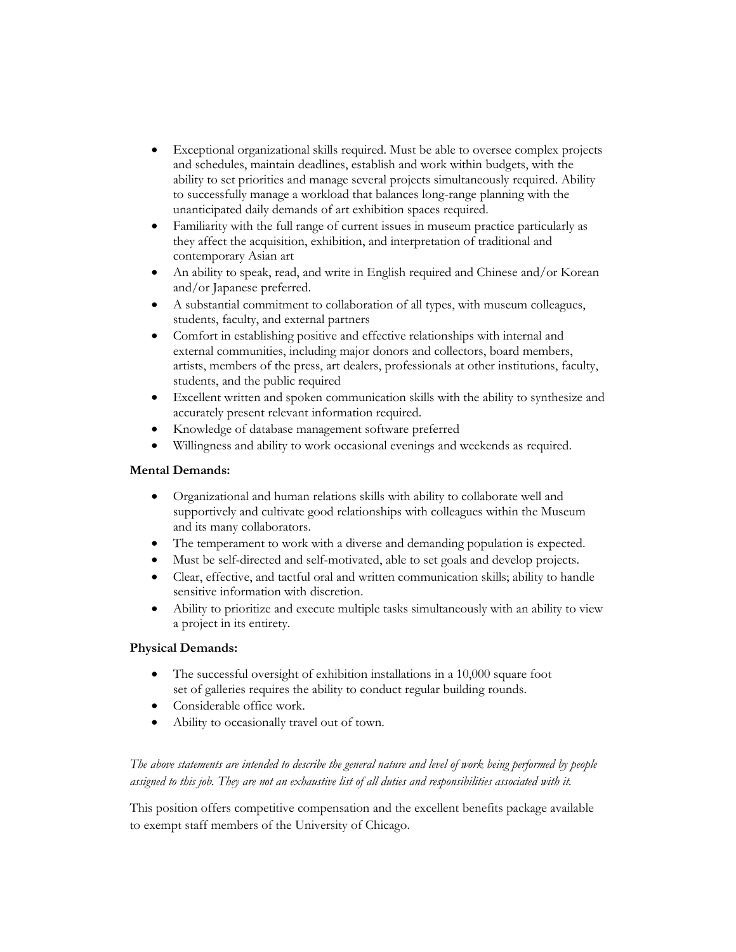- Exceptional organizational skills required. Must be able to oversee complex projects and schedules, maintain deadlines, establish and work within budgets, with the ability to set priorities and manage several projects simultaneously required. Ability to successfully manage a workload that balances long-range planning with the unanticipated daily demands of art exhibition spaces required.
- Familiarity with the full range of current issues in museum practice particularly as they affect the acquisition, exhibition, and interpretation of traditional and contemporary Asian art
- An ability to speak, read, and write in English required and Chinese and/or Korean and/or Japanese preferred.
- A substantial commitment to collaboration of all types, with museum colleagues, students, faculty, and external partners
- Comfort in establishing positive and effective relationships with internal and external communities, including major donors and collectors, board members, artists, members of the press, art dealers, professionals at other institutions, faculty, students, and the public required
- Excellent written and spoken communication skills with the ability to synthesize and accurately present relevant information required.
- Knowledge of database management software preferred
- Willingness and ability to work occasional evenings and weekends as required.

# **Mental Demands:**

- Organizational and human relations skills with ability to collaborate well and supportively and cultivate good relationships with colleagues within the Museum and its many collaborators.
- The temperament to work with a diverse and demanding population is expected.
- Must be self-directed and self-motivated, able to set goals and develop projects.
- Clear, effective, and tactful oral and written communication skills; ability to handle sensitive information with discretion.
- Ability to prioritize and execute multiple tasks simultaneously with an ability to view a project in its entirety.

## **Physical Demands:**

- The successful oversight of exhibition installations in a 10,000 square foot set of galleries requires the ability to conduct regular building rounds.
- Considerable office work.
- Ability to occasionally travel out of town.

# *The above statements are intended to describe the general nature and level of work being performed by people assigned to this job. They are not an exhaustive list of all duties and responsibilities associated with it.*

This position offers competitive compensation and the excellent benefits package available to exempt staff members of the University of Chicago.